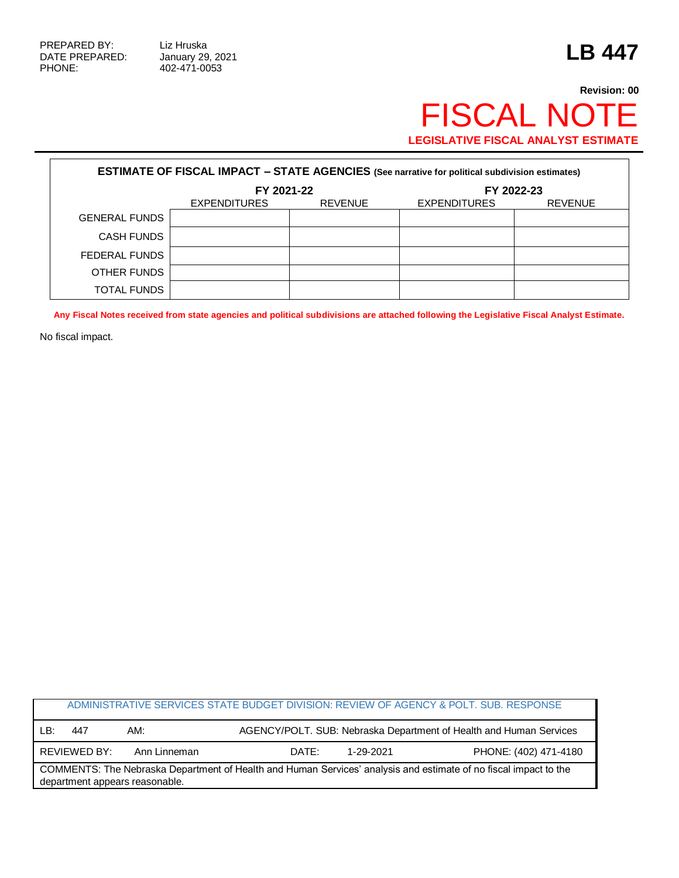$\Gamma$ 

PHONE: 402-471-0053

٦

## **Revision: 00** FISCAL NOTE **LEGISLATIVE FISCAL ANALYST ESTIMATE**

| <b>ESTIMATE OF FISCAL IMPACT - STATE AGENCIES (See narrative for political subdivision estimates)</b> |                     |                |                     |                |  |  |  |  |
|-------------------------------------------------------------------------------------------------------|---------------------|----------------|---------------------|----------------|--|--|--|--|
|                                                                                                       | FY 2021-22          |                | FY 2022-23          |                |  |  |  |  |
|                                                                                                       | <b>EXPENDITURES</b> | <b>REVENUE</b> | <b>EXPENDITURES</b> | <b>REVENUE</b> |  |  |  |  |
| <b>GENERAL FUNDS</b>                                                                                  |                     |                |                     |                |  |  |  |  |
| <b>CASH FUNDS</b>                                                                                     |                     |                |                     |                |  |  |  |  |
| FEDERAL FUNDS                                                                                         |                     |                |                     |                |  |  |  |  |
| OTHER FUNDS                                                                                           |                     |                |                     |                |  |  |  |  |
| <b>TOTAL FUNDS</b>                                                                                    |                     |                |                     |                |  |  |  |  |

**Any Fiscal Notes received from state agencies and political subdivisions are attached following the Legislative Fiscal Analyst Estimate.**

No fiscal impact.

| ADMINISTRATIVE SERVICES STATE BUDGET DIVISION: REVIEW OF AGENCY & POLT. SUB. RESPONSE                                                              |              |              |       |                                                                    |                       |  |  |  |
|----------------------------------------------------------------------------------------------------------------------------------------------------|--------------|--------------|-------|--------------------------------------------------------------------|-----------------------|--|--|--|
| LB:                                                                                                                                                | 447          | AM:          |       | AGENCY/POLT. SUB: Nebraska Department of Health and Human Services |                       |  |  |  |
|                                                                                                                                                    | REVIEWED BY: | Ann Linneman | DATE: | 1-29-2021                                                          | PHONE: (402) 471-4180 |  |  |  |
| COMMENTS: The Nebraska Department of Health and Human Services' analysis and estimate of no fiscal impact to the<br>department appears reasonable. |              |              |       |                                                                    |                       |  |  |  |